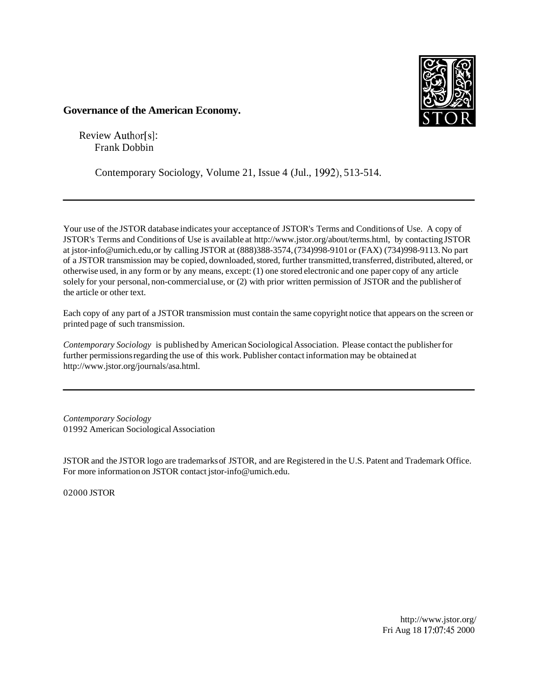

## **Governance of the American Economy.**

Review Author[s]: Frank Dobbin

Contemporary Sociology, Volume 21, Issue 4 (Jul., 1992), 513-514.

Your use of the JSTOR database indicates your acceptance of JSTOR's Terms and Conditions of Use. A copy of JSTOR's Terms and Conditions of Use is available at http://www.jstor.org/about/terms.html, by contacting JSTOR at jstor-info@umich.edu, or by calling JSTOR at (888)388-3574, (734)998-9101 or (FAX) (734)998-9113. No part of a JSTOR transmission may be copied, downloaded, stored, further transmitted, transferred, distributed, altered, or otherwise used, in any form or by any means, except: (1) one stored electronic and one paper copy of any article solely for your personal, non-commercial use, or (2) with prior written permission of JSTOR and the publisher of the article or other text.

Each copy of any part of a JSTOR transmission must contain the same copyright notice that appears on the screen or printed page of such transmission.

*Contemporary Sociology* is published by American Sociological Association. Please contact the publisher for further permissions regarding the use of this work. Publisher contact information may be obtained at http://www.jstor.org/journals/asa.html.

*Contemporary Sociology*  01992 American Sociological Association

JSTOR and the JSTOR logo are trademarks of JSTOR, and are Registered in the U.S. Patent and Trademark Office. For more information on JSTOR contact jstor-info@umich.edu.

02000 JSTOR

http://www.jstor.org/ Fri Aug 18 17:07:45 2000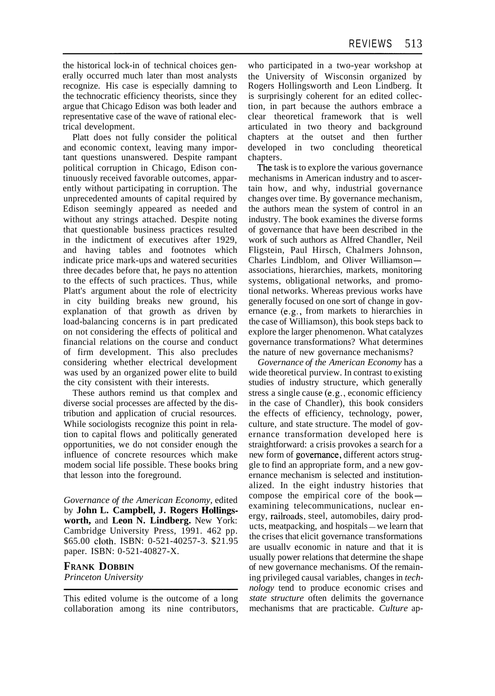the historical lock-in of technical choices generally occurred much later than most analysts recognize. His case is especially damning to the technocratic efficiency theorists, since they argue that Chicago Edison was both leader and representative case of the wave of rational electrical development.

Platt does not fully consider the political and economic context, leaving many important questions unanswered. Despite rampant political corruption in Chicago, Edison continuously received favorable outcomes, apparently without participating in corruption. The unprecedented amounts of capital required by Edison seemingly appeared as needed and without any strings attached. Despite noting that questionable business practices resulted in the indictment of executives after 1929, and having tables and footnotes which indicate price mark-ups and watered securities three decades before that, he pays no attention to the effects of such practices. Thus, while Platt's argument about the role of electricity in city building breaks new ground, his explanation of that growth as driven by load-balancing concerns is in part predicated on not considering the effects of political and financial relations on the course and conduct of firm development. This also precludes considering whether electrical development was used by an organized power elite to build the city consistent with their interests.

These authors remind us that complex and diverse social processes are affected by the distribution and application of crucial resources. While sociologists recognize this point in relation to capital flows and politically generated opportunities, we do not consider enough the influence of concrete resources which make modem social life possible. These books bring that lesson into the foreground.

*Governance of the American Economy,* edited by **John L. Campbell, J. Rogers Hollingsworth,** and **Leon N. Lindberg.** New York: Cambridge University Press, 1991. 462 pp. \$65.00 cloth. ISBN: 0-521-40257-3. \$21.95 paper. ISBN: 0-521-40827-X.

## **FRANK DOBBIN**

*Princeton University* 

who participated in a two-year workshop at the University of Wisconsin organized by Rogers Hollingsworth and Leon Lindberg. It is surprisingly coherent for an edited collection, in part because the authors embrace a clear theoretical framework that is well articulated in two theory and background chapters at the outset and then further developed in two concluding theoretical chapters.

The task is to explore the various governance mechanisms in American industry and to ascertain how, and why, industrial governance changes over time. By governance mechanism, the authors mean the system of control in an industry. The book examines the diverse forms of governance that have been described in the work of such authors as Alfred Chandler, Neil Fligstein, Paul Hirsch, Chalmers Johnson, Charles Lindblom, and Oliver Williamsonassociations, hierarchies, markets, monitoring systems, obligational networks, and promotional networks. Whereas previous works have generally focused on one sort of change in governance (e.g., from markets to hierarchies in the case of Williamson), this book steps back to explore the larger phenomenon. What catalyzes governance transformations? What determines the nature of new governance mechanisms?

*Governance of the American Economy* has a wide theoretical purview. In contrast to existing studies of industry structure, which generally stress a single cause (e.g., economic efficiency in the case of Chandler), this book considers the effects of efficiency, technology, power, culture, and state structure. The model of governance transformation developed here is straightforward: a crisis provokes a search for a new form of governancg, different actors struggle to find an appropriate form, and a new governance mechanism is selected and institutionalized. In the eight industry histories that compose the empirical core of the bookexamining telecommunications, nuclear energy, railroads, steel, automobiles, dairy prod-ucts, meatpacking, and hospitals - we learn that the crises that elicit governance transformations are usuallv economic in nature and that it is usually power relations that determine the shape of new governance mechanisms. Of the remaining privileged causal variables, changes in *technology* tend to produce economic crises and *state structure* often delimits the governance mechanisms that are practicable. *Culture* ap-

This edited volume is the outcome of a long collaboration among its nine contributors,